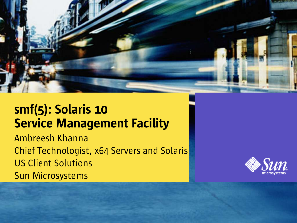

#### smf(5): Solaris 10 Service Management Facility

Ambreesh Khanna Chief Technologist, x64 Servers and Solaris US Client Solutions Sun Microsystems

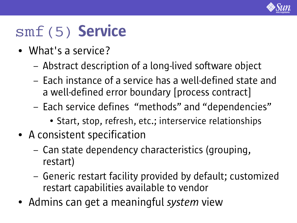

### smf(5) Service

- What's a service?
	- Abstract description of a long-lived software object
	- Each instance of a service has a well-defined state and a well-defined error boundary [process contract]
	- Each service defines "methods" and "dependencies"
		- Start, stop, refresh, etc.; interservice relationships
- A consistent specification
	- Can state dependency characteristics (grouping, restart)
	- Generic restart facility provided by default; customized restart capabilities available to vendor
- Admins can get a meaningful *system* view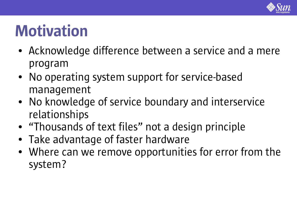

# Motivation

- Acknowledge difference between a service and a mere program
- No operating system support for service-based management
- No knowledge of service boundary and interservice relationships
- "Thousands of text files" not a design principle
- Take advantage of faster hardware
- Where can we remove opportunities for error from the system?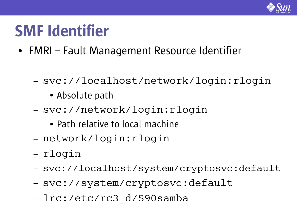

# SMF Identifier

- FMRI Fault Management Resource Identifier
	- svc://localhost/network/login:rlogin
		- Absolute path
	- svc://network/login:rlogin
		- Path relative to local machine
	- network/login:rlogin
	- rlogin
	- svc://localhost/system/cryptosvc:default
	- svc://system/cryptosvc:default
	- lrc:/etc/rc3\_d/S90samba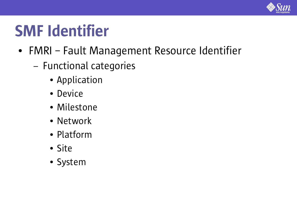

# SMF Identifier

- FMRI Fault Management Resource Identifier
	- Functional categories
		- Application
		- Device
		- Milestone
		- Network
		- Platform
		- Site
		- System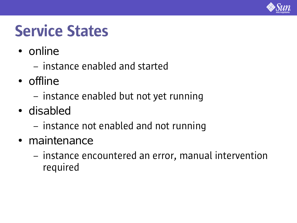

## Service States

- online
	- instance enabled and started
- offline
	- instance enabled but not yet running
- disabled
	- instance not enabled and not running
- maintenance
	- instance encountered an error, manual intervention required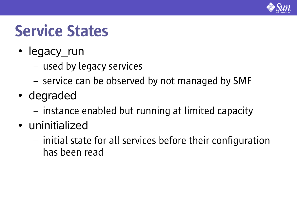

### Service States

- legacy\_run
	- used by legacy services
	- service can be observed by not managed by SMF
- degraded
	- instance enabled but running at limited capacity
- uninitialized
	- initial state for all services before their configuration has been read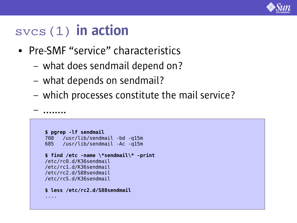

– ........

- Pre-SMF "service" characteristics
	- what does sendmail depend on?
	- what depends on sendmail?
	- which processes constitute the mail service?

```
$ pgrep -lf sendmail
708 /usr/lib/sendmail -bd -q15m
685 /usr/lib/sendmail -Ac -q15m
$ find /etc -name \*sendmail\* -print
/etc/rc0.d/K36sendmail
/etc/rc1.d/K36sendmail
/etc/rc2.d/S88sendmail
/etc/rcS.d/K36sendmail
$ less /etc/rc2.d/S88sendmail
....
```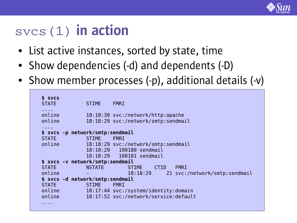

- List active instances, sorted by state, time
- Show dependencies (-d) and dependents (-D)
- Show member processes (-p), additional details (-v)

```
$ svcs
STATE STIME FMRI
....
online 18:18:30 svc:/network/http:apache
online 18:18:29 svc:/network/smtp:sendmail
....
$ svcs -p network/smtp:sendmail
STATE STIME FMRI
online 18:18:29 svc:/network/smtp:sendmail
            18:18:29 100180 sendmail
            18:18:29 100181 sendmail
$ svcs -v network/smtp:sendmail
STATE NSTATE STIME CTID FMRI
online - 18:18:29 21 svc:/network/smtp:sendmail
$ svcs -d network/smtp:sendmail
STATE STIME FMRI
online 18:17:44 svc:/system/identity:domain
online 18:17:52 svc:/network/service:default
....
```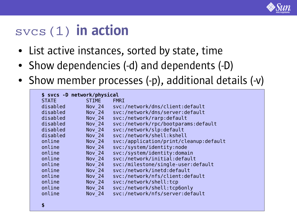

- List active instances, sorted by state, time
- Show dependencies (-d) and dependents (-D)
- Show member processes (-p), additional details (-v)

| \$ svcs -D network/physical |               |                                        |
|-----------------------------|---------------|----------------------------------------|
| <b>STATE</b>                | <b>STIME</b>  | <b>FMRI</b>                            |
| disabled                    | <b>Nov 24</b> | svc:/network/dns/client:default        |
| disabled                    | <b>Nov 24</b> | svc:/network/dns/server:default        |
| disabled                    | <b>Nov 24</b> | svc:/network/rarp:default              |
| disabled                    | <b>Nov 24</b> | svc:/network/rpc/bootparams:default    |
| disabled                    | <b>Nov 24</b> | svc:/network/slp:default               |
| disabled                    | <b>Nov 24</b> | svc:/network/shell:kshell              |
| online                      | <b>Nov 24</b> | svc:/application/print/cleanup:default |
| online                      | <b>Nov 24</b> | svc:/system/identity:node              |
| online                      | <b>Nov 24</b> | svc:/system/identity:domain            |
| online                      | <b>Nov 24</b> | svc:/network/initial:default           |
| online                      | <b>Nov 24</b> | svc:/milestone/single-user:default     |
| online                      | <b>Nov 24</b> | svc:/network/inetd:default             |
| online                      | <b>Nov 24</b> | svc:/network/nfs/client:default        |
| online                      | <b>Nov 24</b> | svc:/network/shell:tcp                 |
| online                      | <b>Nov 24</b> | svc:/network/shell:tcp6only            |
| online                      | <b>Nov 24</b> | svc:/network/nfs/server:default        |
|                             |               |                                        |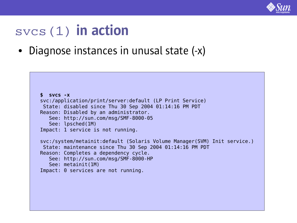

• Diagnose instances in unusal state (-x)

```
$ svcs -x
svc:/application/print/server:default (LP Print Service)
State: disabled since Thu 30 Sep 2004 01:14:16 PM PDT
Reason: Disabled by an administrator.
   See: http://sun.com/msg/SMF-8000-05
  See: lpsched(1M)
Impact: 1 service is not running.
svc:/system/metainit:default (Solaris Volume Manager(SVM) Init service.)
State: maintenance since Thu 30 Sep 2004 01:14:16 PM PDT
Reason: Completes a dependency cycle.
   See: http://sun.com/msg/SMF-8000-HP
   See: metainit(1M)
Impact: 0 services are not running.
```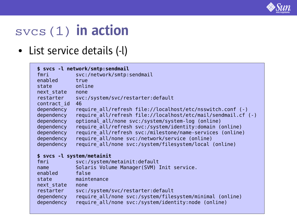

#### ● List service details (-l)

|                 | \$ svcs -l network/smtp:sendmail                              |
|-----------------|---------------------------------------------------------------|
| <b>fmri</b>     | svc:/network/smtp:sendmail                                    |
| enabled true    |                                                               |
| state           | <b>Example 1</b> online                                       |
| next state none |                                                               |
| restarter       | svc:/system/svc/restarter:default                             |
| contract id     | 46                                                            |
| dependency      | require all/refresh file://localhost/etc/nsswitch.conf (-)    |
| dependency      | require all/refresh file://localhost/etc/mail/sendmail.cf (-) |
| dependency      | optional all/none svc:/system/system-log (online)             |
| dependency      | require all/refresh svc:/system/identity:domain (online)      |
| dependency      | require all/refresh svc:/milestone/name-services (online)     |
| dependency      | require all/none svc:/network/service (online)                |
| dependency      | require all/none svc:/system/filesystem/local (online)        |
|                 | \$ svcs -l system/metainit                                    |
| fmri            | svc:/system/metainit:default                                  |
| name            | Solaris Volume Manager (SVM) Init service.                    |
| enabled false   |                                                               |
| state           | maintenance                                                   |
| next state none |                                                               |
| restarter       | svc:/system/svc/restarter:default                             |
| dependency      | require all/none svc:/system/filesystem/minimal (online)      |
| dependency      | require all/none svc:/system/identity:node (online)           |
|                 |                                                               |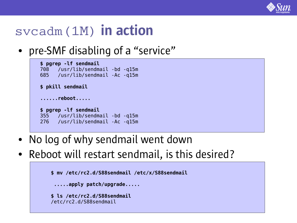

#### svcadm(1M) in action

• pre-SMF disabling of a "service"

```
$ pgrep -lf sendmail
708 /usr/lib/sendmail -bd -q15m
685 /usr/lib/sendmail -Ac -q15m
$ pkill sendmail
......reboot.....
$ pgrep -lf sendmail
355 /usr/lib/sendmail -bd -q15m
276 /usr/lib/sendmail -Ac -q15m
```
- No log of why sendmail went down
- Reboot will restart sendmail, is this desired?

```
$ mv /etc/rc2.d/S88sendmail /etc/x/S88sendmail
 .....apply patch/upgrade.....
$ ls /etc/rc2.d/S88sendmail
/etc/rc2.d/S88sendmail
```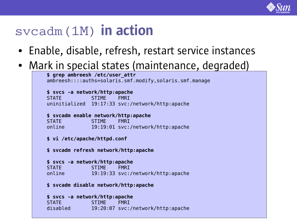

#### svcadm(1M) in action

- Enable, disable, refresh, restart service instances
- Mark in special states (maintenance, degraded)

```
$ grep ambreesh /etc/user_attr
ambreesh::::auths=solaris.smf.modify,solaris.smf.manage
$ svcs -a network/http:apache
STATE STIME FMRI
uninitialized 19:17:33 svc:/network/http:apache
$ svcadm enable network/http:apache
STATE STIME FMRI
online 19:19:01 svc:/network/http:apache
$ vi /etc/apache/httpd.conf
$ svcadm refresh network/http:apache
$ svcs -a network/http:apache
STATE STIME FMRI
online 19:19:33 svc:/network/http:apache
$ svcadm disable network/http:apache
$ svcs -a network/http:apache
STATE STIME FMRI
disabled 19:20:07 svc:/network/http:apache
```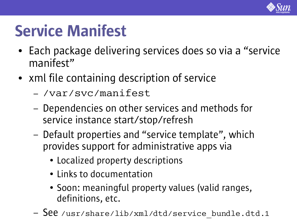

### Service Manifest

- Each package delivering services does so via a "service" manifest"
- xml file containing description of service
	- /var/svc/manifest
	- Dependencies on other services and methods for service instance start/stop/refresh
	- Default properties and "service template" , which provides support for administrative apps via
		- Localized property descriptions
		- Links to documentation
		- Soon: meaningful property values (valid ranges, definitions, etc.
	- See /usr/share/lib/xml/dtd/service bundle.dtd.1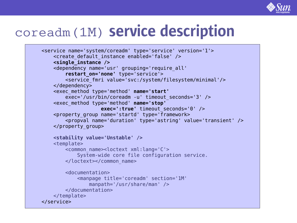

### coreadm(1M) service description

```
<service name='system/coreadm' type='service' version='1'>
    <create default instance enabled='false' />
    <single_instance />
    <dependency name='usr' grouping='require_all'
        restart_on='none' type='service'>
        <service_fmri value='svc:/system/filesystem/minimal'/>
    </dependency>
    <exec_method type='method' name='start'
        exec='/usr/bin/coreadm -u' timeout_seconds='3' />
    <exec_method type='method' name='stop'
                    exec=':true' timeout_seconds='0' />
    <property_group name='startd' type='framework>
        <propval name='duration' type='astring' value='transient' />
    </property_group>
    <stability value='Unstable' />
    <template>
        <common_name><loctext xml:lang='C'>
            System-wide core file configuration service.
        </loctext></common_name>
        <documentation>
            <manpage title='coreadm' section='1M'
                manpath='/usr/share/man' />
        </documentation>
    </template>
</service>
```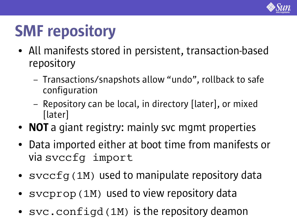

# SMF repository

- All manifests stored in persistent, transaction-based repository
	- Transactions/snapshots allow "undo" , rollback to safe configuration
	- Repository can be local, in directory [later], or mixed [later]
- NOT a giant registry: mainly svc mgmt properties
- Data imported either at boot time from manifests or via svccfg import
- svccfq(1M) used to manipulate repository data
- svcprop(1M) used to view repository data
- svc.configd(1M) is the repository deamon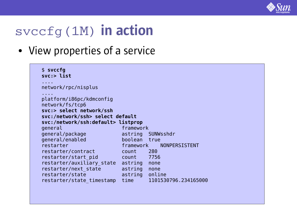

#### svccfg(1M) in action

• View properties of a service

| $$$ svccfg<br>svc:> list           |                |                         |
|------------------------------------|----------------|-------------------------|
| network/rpc/nisplus                |                |                         |
| .                                  |                |                         |
| platform/i86pc/kdmconfig           |                |                         |
| network/fs/tcp6                    |                |                         |
| svc:> select network/ssh           |                |                         |
| svc:/network/ssh> select default   |                |                         |
| svc:/network/ssh:default> listprop |                |                         |
| general                            | framework      |                         |
| general/package                    |                | astring SUNWsshdr       |
| general/enabled                    | boolean true   |                         |
| restarter                          |                | framework NONPERSISTENT |
| restarter/contract                 | count 280      |                         |
| restarter/start pid                | count 7756     |                         |
| restarter/auxiliary state          | astring none   |                         |
| restarter/next state               | astring none   |                         |
| restarter/state                    | astring online |                         |
| restarter/state timestamp          | time           | 1101530796.234165000    |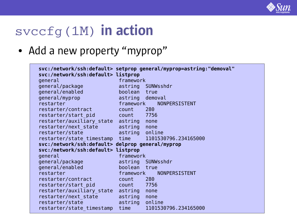

#### svccfg(1M) in action

• Add a new property "myprop"

| svc:/network/ssh:default> listprop               |                 | svc:/network/ssh:default> setprop general/myprop=astring:"demoval" |
|--------------------------------------------------|-----------------|--------------------------------------------------------------------|
| general                                          | framework       |                                                                    |
| general/package                                  |                 | astring SUNWsshdr                                                  |
| general/enabled                                  | boolean true    |                                                                    |
| general/myprop                                   | astring demoval |                                                                    |
| restarter                                        | framework       | NONPERSISTENT                                                      |
| restarter/contract                               | count           | 280                                                                |
| restarter/start pid                              | count 7756      |                                                                    |
| restarter/auxiliary state astring                |                 | none                                                               |
|                                                  |                 |                                                                    |
| restarter/next state                             | astring         | none                                                               |
| restarter/state                                  | astring online  |                                                                    |
| restarter/state timestamp                        | time            | 1101530796.234165000                                               |
| svc:/network/ssh:default> delprop general/myprop |                 |                                                                    |
| svc:/network/ssh:default> listprop               |                 |                                                                    |
| general                                          | framework       |                                                                    |
| general/package                                  |                 | astring SUNWsshdr                                                  |
| general/enabled                                  | boolean true    |                                                                    |
| restarter                                        | framework       | NONPERSISTENT                                                      |
| restarter/contract                               | count           | 280                                                                |
| restarter/start pid                              | count 7756      |                                                                    |
| restarter/auxiliary state                        | astring         | none                                                               |
| restarter/next state                             | astring         | none                                                               |
| restarter/state                                  | astring         | online                                                             |
| restarter/state timestamp                        | time            | 1101530796.234165000                                               |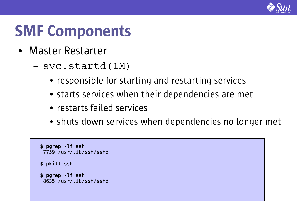

### SMF Components

- Master Restarter
	- svc.startd(1M)
		- responsible for starting and restarting services
		- starts services when their dependencies are met
		- restarts failed services
		- shuts down services when dependencies no longer met

```
$ pgrep -lf ssh
7759 /usr/lib/ssh/sshd
$ pkill ssh
$ pgrep -lf ssh
8635 /usr/lib/ssh/sshd
```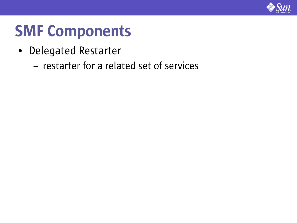

### SMF Components

- Delegated Restarter
	- restarter for a related set of services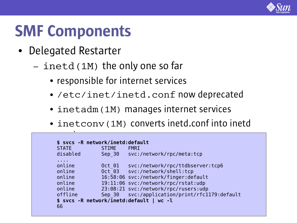

### SMF Components

- Delegated Restarter
	- inetd(1M) the only one so far
		- responsible for internet services
		- /etc/inet/inetd.conf now deprecated
		- inetadm(1M) manages internet services
		- inetconv(1M) converts inetd.conf into inetd

| <b>STATE</b>                                              | <b>STIME</b> | <b>FMRI</b>                                   |
|-----------------------------------------------------------|--------------|-----------------------------------------------|
| disabled                                                  | Sep 30       | svc:/network/rpc/meta:tcp                     |
| $\mathbf{r}$ , $\mathbf{r}$ , $\mathbf{r}$ , $\mathbf{r}$ |              |                                               |
| online                                                    | Oct 01       | svc:/network/rpc/ttdbserver:tcp6              |
| online                                                    |              | Oct 03 svc:/network/shell:tcp                 |
| online                                                    |              | 16:58:06 svc:/network/finger:default          |
| online                                                    |              | 19:11:06 svc:/network/rpc/rstat:udp           |
| online                                                    |              | 23:08:21 svc:/network/rpc/rusers:udp          |
| offline                                                   |              | Sep 30 svc:/application/print/rfc1179:default |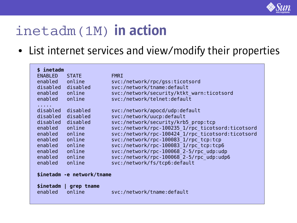

### inetadm(1M) in action

• List internet services and view/modify their properties

| \$ inetadm                                  |                                                   |  |
|---------------------------------------------|---------------------------------------------------|--|
| <b>ENABLED</b><br><b>STATE</b>              | <b>FMRI</b>                                       |  |
| enabled<br>online                           | svc:/network/rpc/gss:ticotsord                    |  |
| disabled disabled                           | svc:/network/tname:default                        |  |
| enabled<br>online                           | svc:/network/security/ktkt warn:ticotsord         |  |
| enabled<br>online                           | svc:/network/telnet:default                       |  |
|                                             |                                                   |  |
| disabled<br>disabled                        | svc:/network/apocd/udp:default                    |  |
| disabled disabled                           | svc:/network/uucp:default                         |  |
| disabled disabled                           | svc:/network/security/krb5 prop:tcp               |  |
| online<br>enabled                           | svc:/network/rpc-100235 1/rpc ticotsord:ticotsord |  |
| online<br>enabled                           | svc:/network/rpc-100424 1/rpc ticotsord:ticotsord |  |
| enabled<br>online                           | svc:/network/rpc-100083 1/rpc tcp:tcp             |  |
| online<br>enabled                           | svc:/network/rpc-100083 1/rpc tcp:tcp6            |  |
| enabled<br>online                           | svc:/network/rpc-100068 2-5/rpc udp:udp           |  |
| online<br>enabled                           | svc:/network/rpc-100068 2-5/rpc udp:udp6          |  |
| online<br>enabled                           | svc:/network/fs/tcp6:default                      |  |
|                                             |                                                   |  |
| \$inetadm -e network/tname                  |                                                   |  |
|                                             |                                                   |  |
| \$inetadm   grep tname<br>enabled<br>online | svc:/network/tname:default                        |  |
|                                             |                                                   |  |
|                                             |                                                   |  |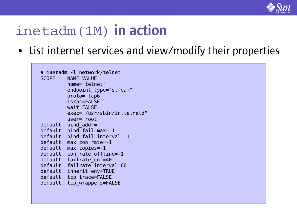

#### inetadm(1M) in action

• List internet services and view/modify their properties

|         | \$ inetadm -l network/telnet |
|---------|------------------------------|
|         | SCOPE NAME=VALUE             |
|         | name="telnet"                |
|         | endpoint type="stream"       |
|         | proto="tcp6"                 |
|         | isrpc=FALSE                  |
|         | wait=FALSE                   |
|         | exec="/usr/sbin/in.telnetd"  |
|         | user="root"                  |
| default | bind addr=""                 |
| default | bind fail max=-1             |
| default | bind fail interval = - 1     |
| default | max con rate = - 1           |
| default | max copies=-1                |
| default | con rate offline=-1          |
| default | failrate cnt=40              |
| default | failrate interval=60         |
| default | inherit env=TRUE             |
| default | tcp trace=FALSE              |
| default | tcp wrappers=FALSE           |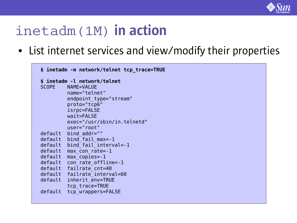

#### inetadm(1M) in action

• List internet services and view/modify their properties

| \$ inetadm -m network/telnet tcp trace=TRUE |                              |  |
|---------------------------------------------|------------------------------|--|
|                                             | \$ inetadm -l network/telnet |  |
| <b>SCOPE</b>                                | NAME=VALUE                   |  |
|                                             | name="telnet"                |  |
|                                             | endpoint type="stream"       |  |
|                                             | proto="tcp6"                 |  |
|                                             | isrpc=FALSE                  |  |
|                                             | wait=FALSE                   |  |
|                                             | exec="/usr/sbin/in.telnetd"  |  |
|                                             | user="root"                  |  |
| default                                     | bind addr=""                 |  |
|                                             | default bind fail max =- 1   |  |
| default                                     | bind fail interval =- 1      |  |
| default                                     | $max con rate = -1$          |  |
| default                                     | $max$ copies= $-1$           |  |
|                                             | default con rate offline=-1  |  |
|                                             | default failrate cnt=40      |  |
|                                             | default failrate interval=60 |  |
| default                                     | inherit env=TRUE             |  |
|                                             | tcp trace=TRUE               |  |
| default                                     | tcp wrappers=FALSE           |  |
|                                             |                              |  |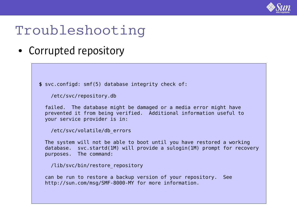

#### Troubleshooting

• Corrupted repository

**\$** svc.configd: smf(5) database integrity check of:

```
/etc/svc/repository.db
```
failed. The database might be damaged or a media error might have prevented it from being verified. Additional information useful to your service provider is in:

```
/etc/svc/volatile/db_errors
```
The system will not be able to boot until you have restored a working database. svc.startd(1M) will provide a sulogin(1M) prompt for recovery purposes. The command:

```
/lib/svc/bin/restore_repository
```
can be run to restore a backup version of your repository. See http://sun.com/msg/SMF-8000-MY for more information.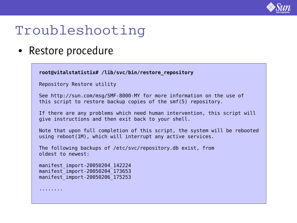

#### Troubleshooting

• Restore procedure

```
root@vitalstatistix# /lib/svc/bin/restore_repository
Repository Restore utility
See http://sun.com/msg/SMF-8000-MY for more information on the use of
this script to restore backup copies of the smf(5) repository.
If there are any problems which need human intervention, this script will
give instructions and then exit back to your shell.
Note that upon full completion of this script, the system will be rebooted
using reboot(1M), which will interrupt any active services.
The following backups of /etc/svc/repository.db exist, from
oldest to newest:
manifest_import-20050204_142224
manifest_import-20050204_173653
manifest_import-20050206_175253
........
```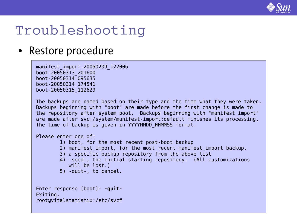

#### Troubleshooting

#### • Restore procedure

```
manifest_import-20050209_122006
boot-20050313_201600
boot-20050314_095635
boot-20050314_174541
boot-20050315_112629
```
The backups are named based on their type and the time what they were taken. Backups beginning with "boot" are made before the first change is made to the repository after system boot. Backups beginning with "manifest\_import" are made after svc:/system/manifest-import:default finishes its processing. The time of backup is given in YYYYMMDD HHMMSS format.

Please enter one of:

- 1) boot, for the most recent post-boot backup
- 2) manifest import, for the most recent manifest import backup.
- 3) a specific backup repository from the above list
- 4) -seed-, the initial starting repository. (All customizations will be lost.)
- 5) -quit-, to cancel.

```
Enter response [boot]: -quit-
Exiting.
root@vitalstatistix:/etc/svc#
```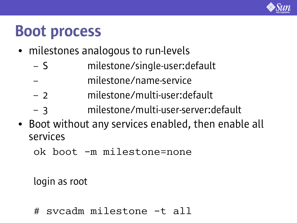

### Boot process

- milestones analogous to run-levels
	- S milestone/single-user:default
	- milestone/name-service
	- 2 milestone/multi-user:default
	- 3 milestone/multi-user-server:default
- Boot without any services enabled, then enable all services
	- ok boot -m milestone=none

login as root

# svcadm milestone -t all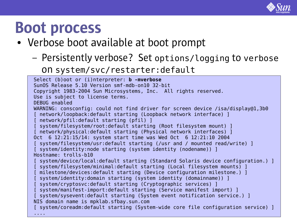

### Boot process

- Verbose boot available at boot prompt
	- Persistently verbose? Set options/logging to verbose

on system/svc/restarter:default

```
Select (b)oot or (i)nterpreter: b -mverbose
SunOS Release 5.10 Version smf-mdb-on10 32-bit
Copyright 1983-2004 Sun Microsystems, Inc. All rights reserved.
Use is subject to license terms.
DEBUG enabled
WARNING: consconfig: could not find driver for screen device /isa/display@1,3b0
 network/loopback:default starting (Loopback network interface) ]
 network/pfil:default starting (pfil) ]
[ system/filesystem/root:default starting (Root filesystem mount) ]
[ network/physical:default starting (Physical network interfaces) ]
Oct 6 12:21:15/14: system start time was Wed Oct 6 12:21:10 2004
[ system/filesystem/usr:default starting (/usr and / mounted read/write) ]
[ system/identity:node starting (system identity (nodename)) ]
Hostname: trolls-b10
[ system/device/local:default starting (Standard Solaris device configuration.) ]
[ system/filesystem/minimal:default starting (Local filesystem mounts) ]
[ milestone/devices:default starting (Device configuration milestone.) ]
[ system/identity:domain starting (system identity (domainname)) ]
[ system/cryptosvc:default starting (Cryptographic services) ]
[ system/manifest-import:default starting (Service manifest import) ]
[ system/sysevent:default starting (System event notification service.) ]
NIS domain name is mpklab.sfbay.sun.com
[ system/coreadm:default starting (System-wide core file configuration service) ]
....
```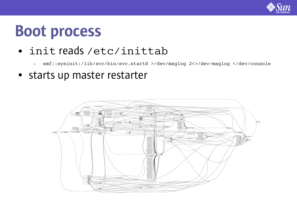

### Boot process

- init reads /etc/inittab
	- smf::sysinit:/lib/svc/bin/svc.startd >/dev/msglog 2<>/dev/msglog </dev/console
- starts up master restarter